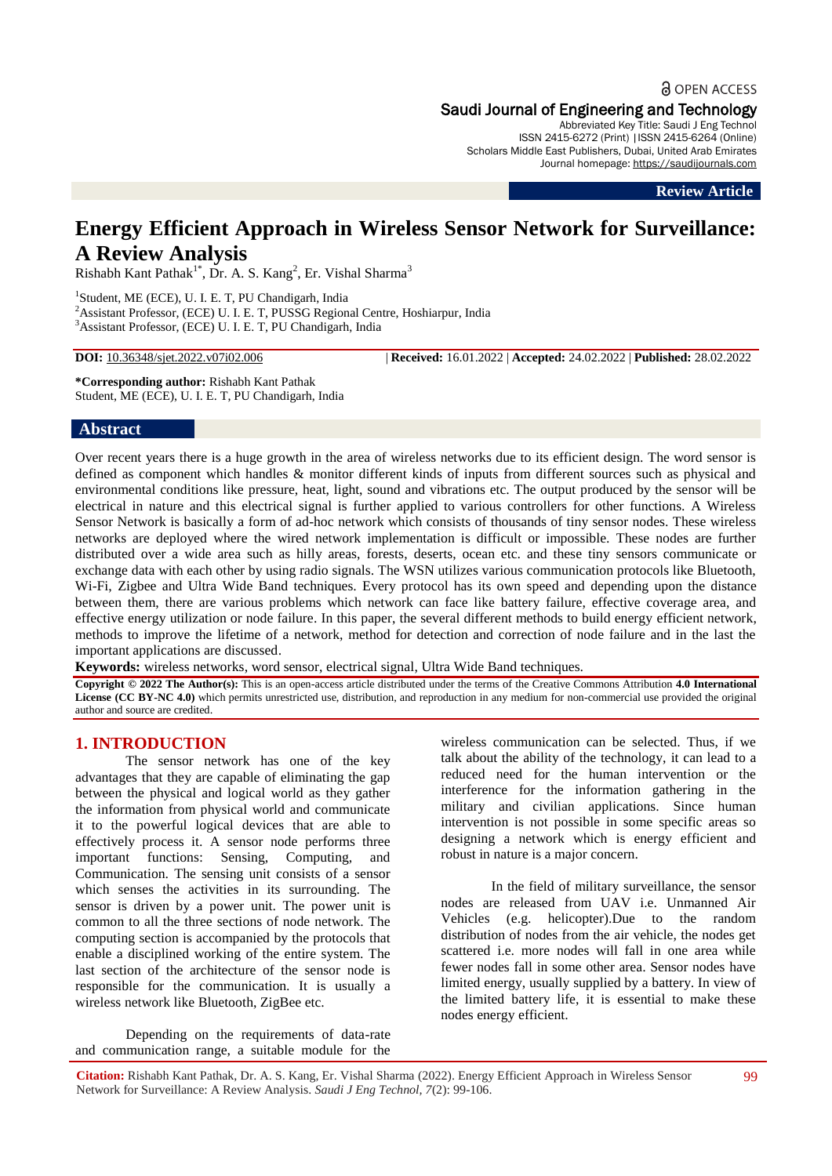# **a** OPEN ACCESS Saudi Journal of Engineering and Technology

Abbreviated Key Title: Saudi J Eng Technol ISSN 2415-6272 (Print) |ISSN 2415-6264 (Online) Scholars Middle East Publishers, Dubai, United Arab Emirates Journal homepage: [https://saudijournals.com](https://saudijournals.com/sjeat)

**Review Article**

# **Energy Efficient Approach in Wireless Sensor Network for Surveillance: A Review Analysis**

 $Rishabh$  Kant Pathak<sup>1\*</sup>, Dr. A. S. Kang<sup>2</sup>, Er. Vishal Sharma<sup>3</sup>

<sup>1</sup>Student, ME (ECE), U. I. E. T, PU Chandigarh, India <sup>2</sup>Assistant Professor, (ECE) U. I. E. T, PUSSG Regional Centre, Hoshiarpur, India <sup>3</sup>Assistant Professor, (ECE) U. I. E. T, PU Chandigarh, India

**DOI:** 10.36348/sjet.2022.v07i02.006 | **Received:** 16.01.2022 | **Accepted:** 24.02.2022 | **Published:** 28.02.2022

**\*Corresponding author:** Rishabh Kant Pathak Student, ME (ECE), U. I. E. T, PU Chandigarh, India

#### **Abstract**

Over recent years there is a huge growth in the area of wireless networks due to its efficient design. The word sensor is defined as component which handles & monitor different kinds of inputs from different sources such as physical and environmental conditions like pressure, heat, light, sound and vibrations etc. The output produced by the sensor will be electrical in nature and this electrical signal is further applied to various controllers for other functions. A Wireless Sensor Network is basically a form of ad-hoc network which consists of thousands of tiny sensor nodes. These wireless networks are deployed where the wired network implementation is difficult or impossible. These nodes are further distributed over a wide area such as hilly areas, forests, deserts, ocean etc. and these tiny sensors communicate or exchange data with each other by using radio signals. The WSN utilizes various communication protocols like Bluetooth, Wi-Fi, Zigbee and Ultra Wide Band techniques. Every protocol has its own speed and depending upon the distance between them, there are various problems which network can face like battery failure, effective coverage area, and effective energy utilization or node failure. In this paper, the several different methods to build energy efficient network, methods to improve the lifetime of a network, method for detection and correction of node failure and in the last the important applications are discussed.

**Keywords:** wireless networks, word sensor, electrical signal, Ultra Wide Band techniques.

**Copyright © 2022 The Author(s):** This is an open-access article distributed under the terms of the Creative Commons Attribution **4.0 International License (CC BY-NC 4.0)** which permits unrestricted use, distribution, and reproduction in any medium for non-commercial use provided the original author and source are credited.

#### **1. INTRODUCTION**

The sensor network has one of the key advantages that they are capable of eliminating the gap between the physical and logical world as they gather the information from physical world and communicate it to the powerful logical devices that are able to effectively process it. A sensor node performs three important functions: Sensing, Computing, and Communication. The sensing unit consists of a sensor which senses the activities in its surrounding. The sensor is driven by a power unit. The power unit is common to all the three sections of node network. The computing section is accompanied by the protocols that enable a disciplined working of the entire system. The last section of the architecture of the sensor node is responsible for the communication. It is usually a wireless network like Bluetooth, ZigBee etc.

Depending on the requirements of data-rate and communication range, a suitable module for the

wireless communication can be selected. Thus, if we talk about the ability of the technology, it can lead to a reduced need for the human intervention or the interference for the information gathering in the military and civilian applications. Since human intervention is not possible in some specific areas so designing a network which is energy efficient and robust in nature is a major concern.

In the field of military surveillance, the sensor nodes are released from UAV i.e. Unmanned Air Vehicles (e.g. helicopter).Due to the random distribution of nodes from the air vehicle, the nodes get scattered i.e. more nodes will fall in one area while fewer nodes fall in some other area. Sensor nodes have limited energy, usually supplied by a battery. In view of the limited battery life, it is essential to make these nodes energy efficient.

**Citation:** Rishabh Kant Pathak, Dr. A. S. Kang, Er. Vishal Sharma (2022). Energy Efficient Approach in Wireless Sensor Network for Surveillance: A Review Analysis. *Saudi J Eng Technol, 7*(2): 99-106.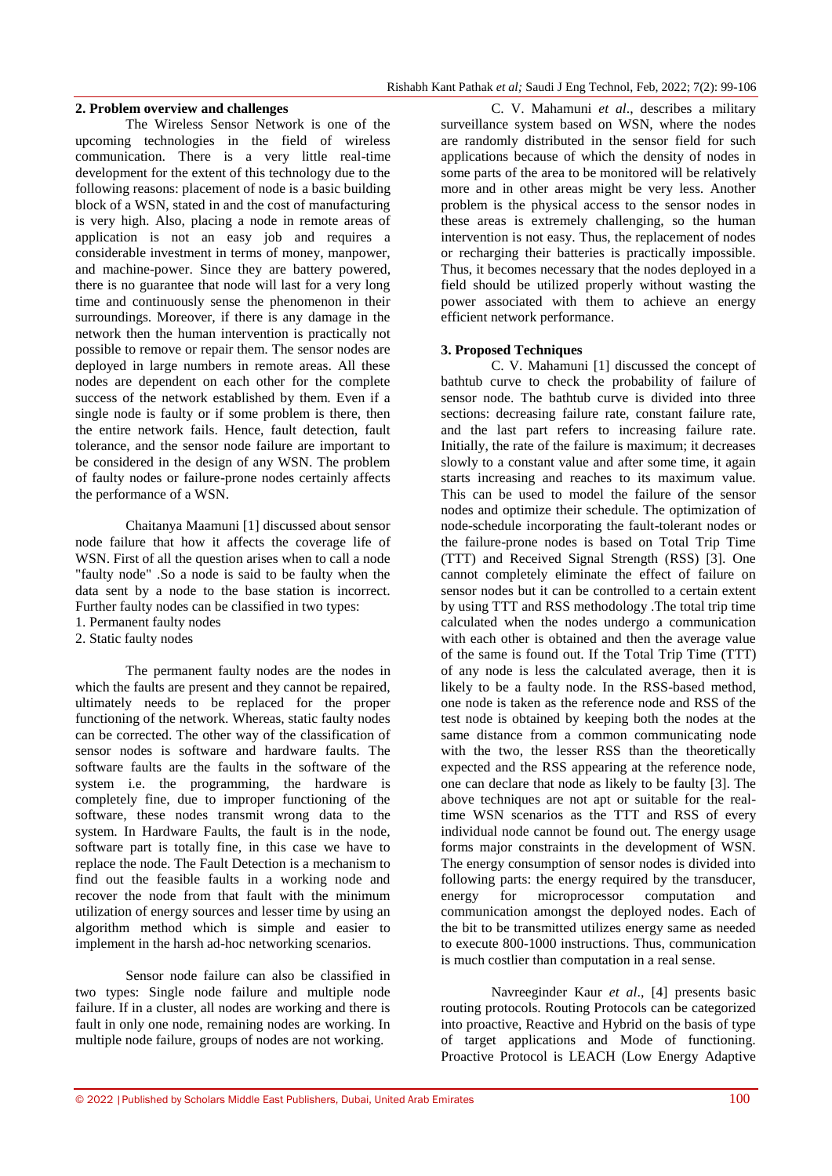#### **2. Problem overview and challenges**

The Wireless Sensor Network is one of the upcoming technologies in the field of wireless communication. There is a very little real-time development for the extent of this technology due to the following reasons: placement of node is a basic building block of a WSN, stated in and the cost of manufacturing is very high. Also, placing a node in remote areas of application is not an easy job and requires a considerable investment in terms of money, manpower, and machine-power. Since they are battery powered, there is no guarantee that node will last for a very long time and continuously sense the phenomenon in their surroundings. Moreover, if there is any damage in the network then the human intervention is practically not possible to remove or repair them. The sensor nodes are deployed in large numbers in remote areas. All these nodes are dependent on each other for the complete success of the network established by them. Even if a single node is faulty or if some problem is there, then the entire network fails. Hence, fault detection, fault tolerance, and the sensor node failure are important to be considered in the design of any WSN. The problem of faulty nodes or failure-prone nodes certainly affects the performance of a WSN.

Chaitanya Maamuni [1] discussed about sensor node failure that how it affects the coverage life of WSN. First of all the question arises when to call a node "faulty node" .So a node is said to be faulty when the data sent by a node to the base station is incorrect. Further faulty nodes can be classified in two types: 1. Permanent faulty nodes

2. Static faulty nodes

The permanent faulty nodes are the nodes in which the faults are present and they cannot be repaired. ultimately needs to be replaced for the proper functioning of the network. Whereas, static faulty nodes can be corrected. The other way of the classification of sensor nodes is software and hardware faults. The software faults are the faults in the software of the system i.e. the programming, the hardware is completely fine, due to improper functioning of the software, these nodes transmit wrong data to the system. In Hardware Faults, the fault is in the node, software part is totally fine, in this case we have to replace the node. The Fault Detection is a mechanism to find out the feasible faults in a working node and recover the node from that fault with the minimum utilization of energy sources and lesser time by using an algorithm method which is simple and easier to implement in the harsh ad-hoc networking scenarios.

Sensor node failure can also be classified in two types: Single node failure and multiple node failure. If in a cluster, all nodes are working and there is fault in only one node, remaining nodes are working. In multiple node failure, groups of nodes are not working.

C. V. Mahamuni *et al*., describes a military surveillance system based on WSN, where the nodes are randomly distributed in the sensor field for such applications because of which the density of nodes in some parts of the area to be monitored will be relatively more and in other areas might be very less. Another problem is the physical access to the sensor nodes in these areas is extremely challenging, so the human intervention is not easy. Thus, the replacement of nodes or recharging their batteries is practically impossible. Thus, it becomes necessary that the nodes deployed in a field should be utilized properly without wasting the power associated with them to achieve an energy efficient network performance.

#### **3. Proposed Techniques**

C. V. Mahamuni [1] discussed the concept of bathtub curve to check the probability of failure of sensor node. The bathtub curve is divided into three sections: decreasing failure rate, constant failure rate, and the last part refers to increasing failure rate. Initially, the rate of the failure is maximum; it decreases slowly to a constant value and after some time, it again starts increasing and reaches to its maximum value. This can be used to model the failure of the sensor nodes and optimize their schedule. The optimization of node-schedule incorporating the fault-tolerant nodes or the failure-prone nodes is based on Total Trip Time (TTT) and Received Signal Strength (RSS) [3]. One cannot completely eliminate the effect of failure on sensor nodes but it can be controlled to a certain extent by using TTT and RSS methodology .The total trip time calculated when the nodes undergo a communication with each other is obtained and then the average value of the same is found out. If the Total Trip Time (TTT) of any node is less the calculated average, then it is likely to be a faulty node. In the RSS-based method, one node is taken as the reference node and RSS of the test node is obtained by keeping both the nodes at the same distance from a common communicating node with the two, the lesser RSS than the theoretically expected and the RSS appearing at the reference node, one can declare that node as likely to be faulty [3]. The above techniques are not apt or suitable for the realtime WSN scenarios as the TTT and RSS of every individual node cannot be found out. The energy usage forms major constraints in the development of WSN. The energy consumption of sensor nodes is divided into following parts: the energy required by the transducer,<br>energy for microprocessor computation and energy for microprocessor computation and communication amongst the deployed nodes. Each of the bit to be transmitted utilizes energy same as needed to execute 800-1000 instructions. Thus, communication is much costlier than computation in a real sense.

Navreeginder Kaur *et al*., [4] presents basic routing protocols. Routing Protocols can be categorized into proactive, Reactive and Hybrid on the basis of type of target applications and Mode of functioning. Proactive Protocol is LEACH (Low Energy Adaptive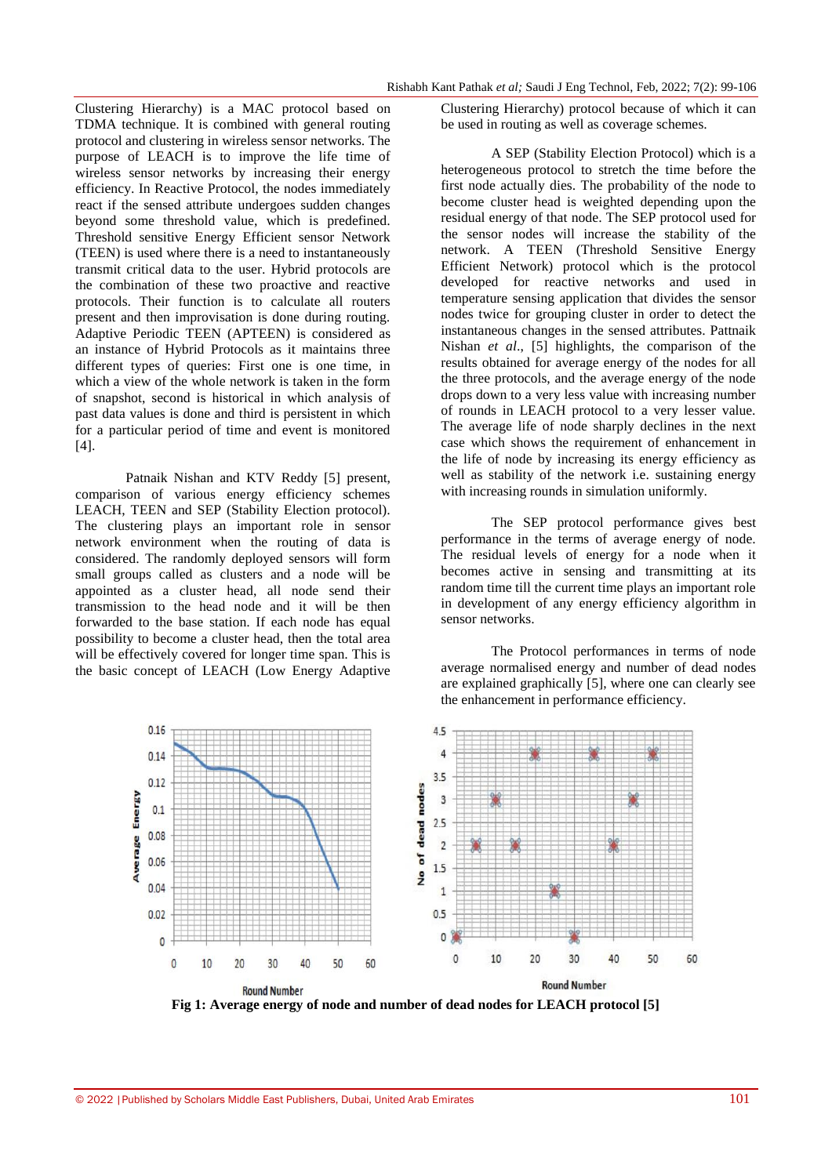Clustering Hierarchy) is a MAC protocol based on TDMA technique. It is combined with general routing protocol and clustering in wireless sensor networks. The purpose of LEACH is to improve the life time of wireless sensor networks by increasing their energy efficiency. In Reactive Protocol, the nodes immediately react if the sensed attribute undergoes sudden changes beyond some threshold value, which is predefined. Threshold sensitive Energy Efficient sensor Network (TEEN) is used where there is a need to instantaneously transmit critical data to the user. Hybrid protocols are the combination of these two proactive and reactive protocols. Their function is to calculate all routers present and then improvisation is done during routing. Adaptive Periodic TEEN (APTEEN) is considered as an instance of Hybrid Protocols as it maintains three different types of queries: First one is one time, in which a view of the whole network is taken in the form of snapshot, second is historical in which analysis of past data values is done and third is persistent in which for a particular period of time and event is monitored [4].

Patnaik Nishan and KTV Reddy [5] present, comparison of various energy efficiency schemes LEACH, TEEN and SEP (Stability Election protocol). The clustering plays an important role in sensor network environment when the routing of data is considered. The randomly deployed sensors will form small groups called as clusters and a node will be appointed as a cluster head, all node send their transmission to the head node and it will be then forwarded to the base station. If each node has equal possibility to become a cluster head, then the total area will be effectively covered for longer time span. This is the basic concept of LEACH (Low Energy Adaptive

Clustering Hierarchy) protocol because of which it can be used in routing as well as coverage schemes.

A SEP (Stability Election Protocol) which is a heterogeneous protocol to stretch the time before the first node actually dies. The probability of the node to become cluster head is weighted depending upon the residual energy of that node. The SEP protocol used for the sensor nodes will increase the stability of the network. A TEEN (Threshold Sensitive Energy Efficient Network) protocol which is the protocol developed for reactive networks and used in temperature sensing application that divides the sensor nodes twice for grouping cluster in order to detect the instantaneous changes in the sensed attributes. Pattnaik Nishan *et al*., [5] highlights, the comparison of the results obtained for average energy of the nodes for all the three protocols, and the average energy of the node drops down to a very less value with increasing number of rounds in LEACH protocol to a very lesser value. The average life of node sharply declines in the next case which shows the requirement of enhancement in the life of node by increasing its energy efficiency as well as stability of the network i.e. sustaining energy with increasing rounds in simulation uniformly.

The SEP protocol performance gives best performance in the terms of average energy of node. The residual levels of energy for a node when it becomes active in sensing and transmitting at its random time till the current time plays an important role in development of any energy efficiency algorithm in sensor networks.

The Protocol performances in terms of node average normalised energy and number of dead nodes are explained graphically [5], where one can clearly see the enhancement in performance efficiency.



**Fig 1: Average energy of node and number of dead nodes for LEACH protocol [5]**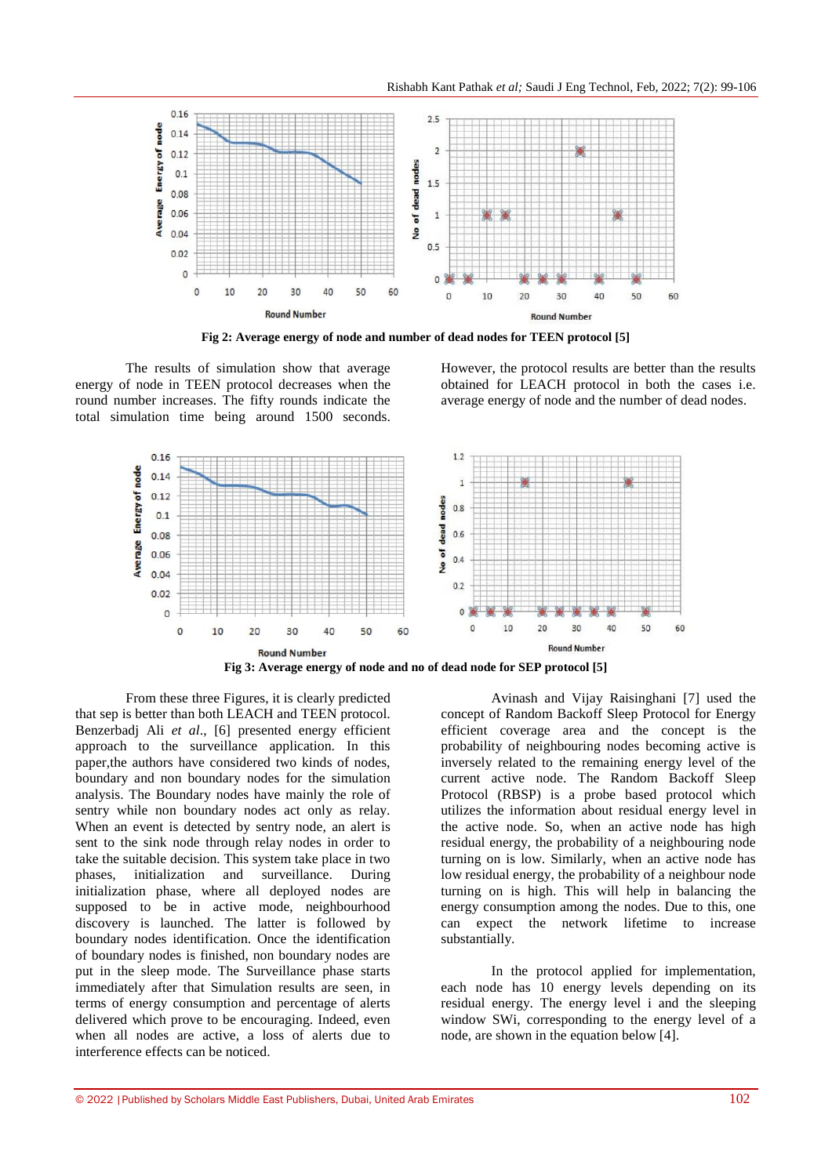

**Fig 2: Average energy of node and number of dead nodes for TEEN protocol [5]**

The results of simulation show that average energy of node in TEEN protocol decreases when the round number increases. The fifty rounds indicate the total simulation time being around 1500 seconds. However, the protocol results are better than the results obtained for LEACH protocol in both the cases i.e. average energy of node and the number of dead nodes.



From these three Figures, it is clearly predicted that sep is better than both LEACH and TEEN protocol. Benzerbadj Ali *et al*., [6] presented energy efficient approach to the surveillance application. In this paper,the authors have considered two kinds of nodes, boundary and non boundary nodes for the simulation analysis. The Boundary nodes have mainly the role of sentry while non boundary nodes act only as relay. When an event is detected by sentry node, an alert is sent to the sink node through relay nodes in order to take the suitable decision. This system take place in two phases, initialization and surveillance. During initialization phase, where all deployed nodes are supposed to be in active mode, neighbourhood discovery is launched. The latter is followed by boundary nodes identification. Once the identification of boundary nodes is finished, non boundary nodes are put in the sleep mode. The Surveillance phase starts immediately after that Simulation results are seen, in terms of energy consumption and percentage of alerts delivered which prove to be encouraging. Indeed, even when all nodes are active, a loss of alerts due to interference effects can be noticed.

Avinash and Vijay Raisinghani [7] used the concept of Random Backoff Sleep Protocol for Energy efficient coverage area and the concept is the probability of neighbouring nodes becoming active is inversely related to the remaining energy level of the current active node. The Random Backoff Sleep Protocol (RBSP) is a probe based protocol which utilizes the information about residual energy level in the active node. So, when an active node has high residual energy, the probability of a neighbouring node turning on is low. Similarly, when an active node has low residual energy, the probability of a neighbour node turning on is high. This will help in balancing the energy consumption among the nodes. Due to this, one can expect the network lifetime to increase substantially.

In the protocol applied for implementation, each node has 10 energy levels depending on its residual energy. The energy level i and the sleeping window SWi, corresponding to the energy level of a node, are shown in the equation below [4].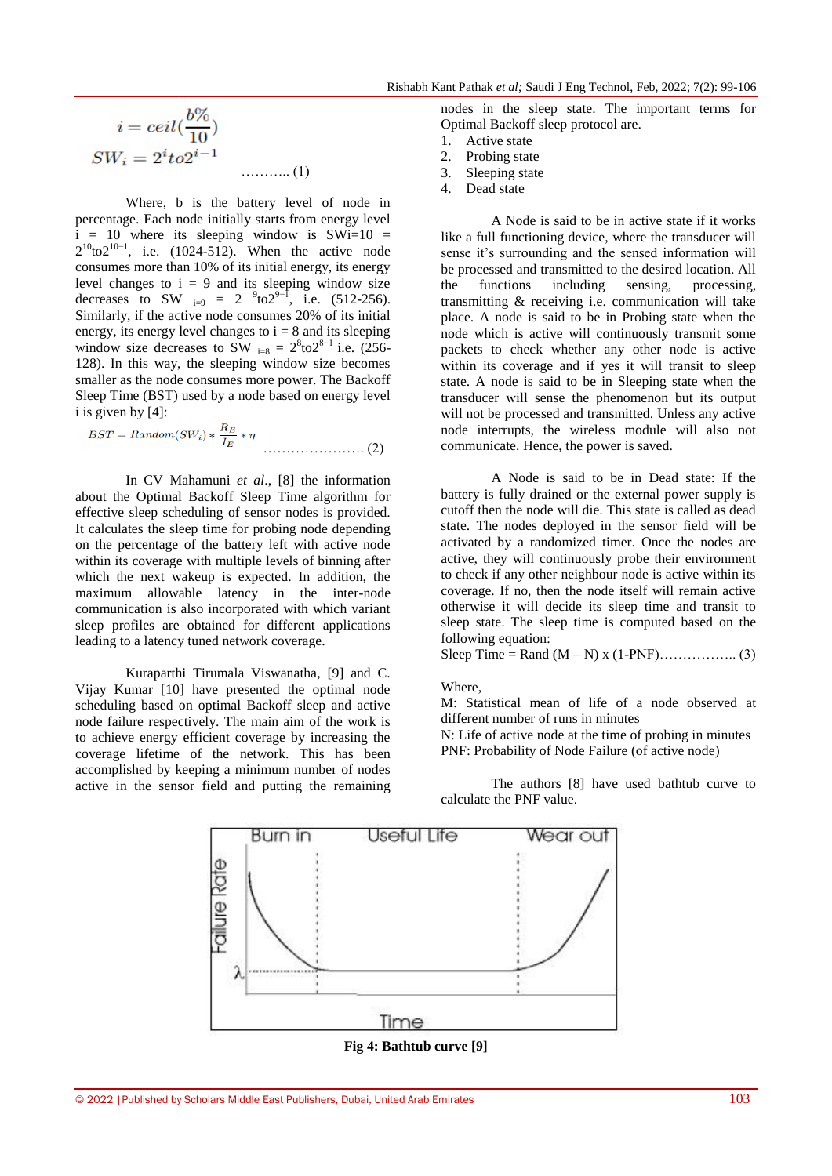$$
i = ceil(\frac{b\%}{10})
$$
  
\n
$$
SW_i = 2^{i}to2^{i-1}
$$
........(1)

Where, b is the battery level of node in percentage. Each node initially starts from energy level  $i = 10$  where its sleeping window is SWi=10 =  $2^{10}$ to $2^{10-1}$ , i.e. (1024-512). When the active node consumes more than 10% of its initial energy, its energy level changes to  $i = 9$  and its sleeping window size decreases to SW  $_{i=9}$  = 2  $^{9}$ to2<sup>9-1</sup>, i.e. (512-256). Similarly, if the active node consumes 20% of its initial energy, its energy level changes to  $i = 8$  and its sleeping window size decreases to SW  $_{i=8} = 2^{8}$ to $2^{8-1}$  i.e. (256-128). In this way, the sleeping window size becomes smaller as the node consumes more power. The Backoff Sleep Time (BST) used by a node based on energy level i is given by [4]:

…………………. (2)

In CV Mahamuni *et al*., [8] the information about the Optimal Backoff Sleep Time algorithm for effective sleep scheduling of sensor nodes is provided. It calculates the sleep time for probing node depending on the percentage of the battery left with active node within its coverage with multiple levels of binning after which the next wakeup is expected. In addition, the maximum allowable latency in the inter-node communication is also incorporated with which variant sleep profiles are obtained for different applications leading to a latency tuned network coverage.

Kuraparthi Tirumala Viswanatha*,* [9] and C. Vijay Kumar [10] have presented the optimal node scheduling based on optimal Backoff sleep and active node failure respectively. The main aim of the work is to achieve energy efficient coverage by increasing the coverage lifetime of the network. This has been accomplished by keeping a minimum number of nodes active in the sensor field and putting the remaining nodes in the sleep state. The important terms for Optimal Backoff sleep protocol are.

- 1. Active state
- 2. Probing state
- 3. Sleeping state
- 4. Dead state

A Node is said to be in active state if it works like a full functioning device, where the transducer will sense it's surrounding and the sensed information will be processed and transmitted to the desired location. All the functions including sensing, processing, transmitting & receiving i.e. communication will take place. A node is said to be in Probing state when the node which is active will continuously transmit some packets to check whether any other node is active within its coverage and if yes it will transit to sleep state. A node is said to be in Sleeping state when the transducer will sense the phenomenon but its output will not be processed and transmitted. Unless any active node interrupts, the wireless module will also not communicate. Hence, the power is saved.

A Node is said to be in Dead state: If the battery is fully drained or the external power supply is cutoff then the node will die. This state is called as dead state. The nodes deployed in the sensor field will be activated by a randomized timer. Once the nodes are active, they will continuously probe their environment to check if any other neighbour node is active within its coverage. If no, then the node itself will remain active otherwise it will decide its sleep time and transit to sleep state. The sleep time is computed based on the following equation:

Sleep Time = Rand  $(M - N)$  x (1-PNF)…………….. (3)

Where

M: Statistical mean of life of a node observed at different number of runs in minutes

N: Life of active node at the time of probing in minutes PNF: Probability of Node Failure (of active node)

The authors [8] have used bathtub curve to calculate the PNF value.



**Fig 4: Bathtub curve [9]**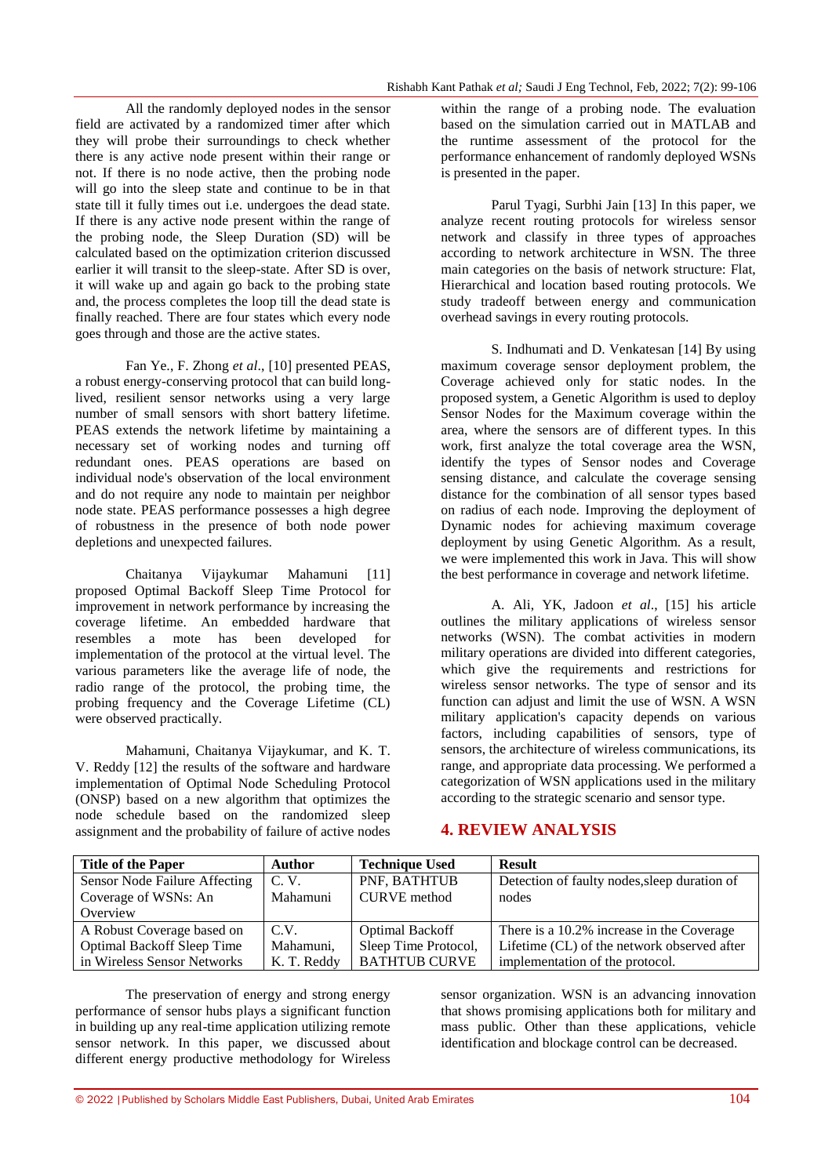All the randomly deployed nodes in the sensor field are activated by a randomized timer after which they will probe their surroundings to check whether there is any active node present within their range or not. If there is no node active, then the probing node will go into the sleep state and continue to be in that state till it fully times out i.e. undergoes the dead state. If there is any active node present within the range of the probing node, the Sleep Duration (SD) will be calculated based on the optimization criterion discussed earlier it will transit to the sleep-state. After SD is over, it will wake up and again go back to the probing state and, the process completes the loop till the dead state is finally reached. There are four states which every node goes through and those are the active states.

Fan Ye., F. Zhong *et al*., [10] presented PEAS, a robust energy-conserving protocol that can build longlived, resilient sensor networks using a very large number of small sensors with short battery lifetime. PEAS extends the network lifetime by maintaining a necessary set of working nodes and turning off redundant ones. PEAS operations are based on individual node's observation of the local environment and do not require any node to maintain per neighbor node state. PEAS performance possesses a high degree of robustness in the presence of both node power depletions and unexpected failures.

Chaitanya Vijaykumar Mahamuni [11] proposed Optimal Backoff Sleep Time Protocol for improvement in network performance by increasing the coverage lifetime. An embedded hardware that resembles a mote has been developed for implementation of the protocol at the virtual level. The various parameters like the average life of node, the radio range of the protocol, the probing time, the probing frequency and the Coverage Lifetime (CL) were observed practically.

Mahamuni, Chaitanya Vijaykumar, and K. T. V. Reddy [12] the results of the software and hardware implementation of Optimal Node Scheduling Protocol (ONSP) based on a new algorithm that optimizes the node schedule based on the randomized sleep assignment and the probability of failure of active nodes

within the range of a probing node. The evaluation based on the simulation carried out in MATLAB and the runtime assessment of the protocol for the performance enhancement of randomly deployed WSNs is presented in the paper.

Parul Tyagi, Surbhi Jain [13] In this paper, we analyze recent routing protocols for wireless sensor network and classify in three types of approaches according to network architecture in WSN. The three main categories on the basis of network structure: Flat, Hierarchical and location based routing protocols. We study tradeoff between energy and communication overhead savings in every routing protocols.

S. Indhumati and D. Venkatesan [14] By using maximum coverage sensor deployment problem, the Coverage achieved only for static nodes. In the proposed system, a Genetic Algorithm is used to deploy Sensor Nodes for the Maximum coverage within the area, where the sensors are of different types. In this work, first analyze the total coverage area the WSN, identify the types of Sensor nodes and Coverage sensing distance, and calculate the coverage sensing distance for the combination of all sensor types based on radius of each node. Improving the deployment of Dynamic nodes for achieving maximum coverage deployment by using Genetic Algorithm. As a result, we were implemented this work in Java. This will show the best performance in coverage and network lifetime.

A. Ali, YK, Jadoon *et al*., [15] his article outlines the military applications of wireless sensor networks (WSN). The combat activities in modern military operations are divided into different categories, which give the requirements and restrictions for wireless sensor networks. The type of sensor and its function can adjust and limit the use of WSN. A WSN military application's capacity depends on various factors, including capabilities of sensors, type of sensors, the architecture of wireless communications, its range, and appropriate data processing. We performed a categorization of WSN applications used in the military according to the strategic scenario and sensor type.

# **4. REVIEW ANALYSIS**

| <b>Title of the Paper</b>         | Author      | <b>Technique Used</b>  | <b>Result</b>                                |
|-----------------------------------|-------------|------------------------|----------------------------------------------|
| Sensor Node Failure Affecting     | C.V.        | PNF, BATHTUB           | Detection of faulty nodes, sleep duration of |
| Coverage of WSNs: An              | Mahamuni    | <b>CURVE</b> method    | nodes                                        |
| Overview                          |             |                        |                                              |
| A Robust Coverage based on        | C.V.        | <b>Optimal Backoff</b> | There is a 10.2% increase in the Coverage    |
| <b>Optimal Backoff Sleep Time</b> | Mahamuni,   | Sleep Time Protocol,   | Lifetime (CL) of the network observed after  |
| in Wireless Sensor Networks       | K. T. Reddy | <b>BATHTUB CURVE</b>   | implementation of the protocol.              |

The preservation of energy and strong energy performance of sensor hubs plays a significant function in building up any real-time application utilizing remote sensor network. In this paper, we discussed about different energy productive methodology for Wireless

sensor organization. WSN is an advancing innovation that shows promising applications both for military and mass public. Other than these applications, vehicle identification and blockage control can be decreased.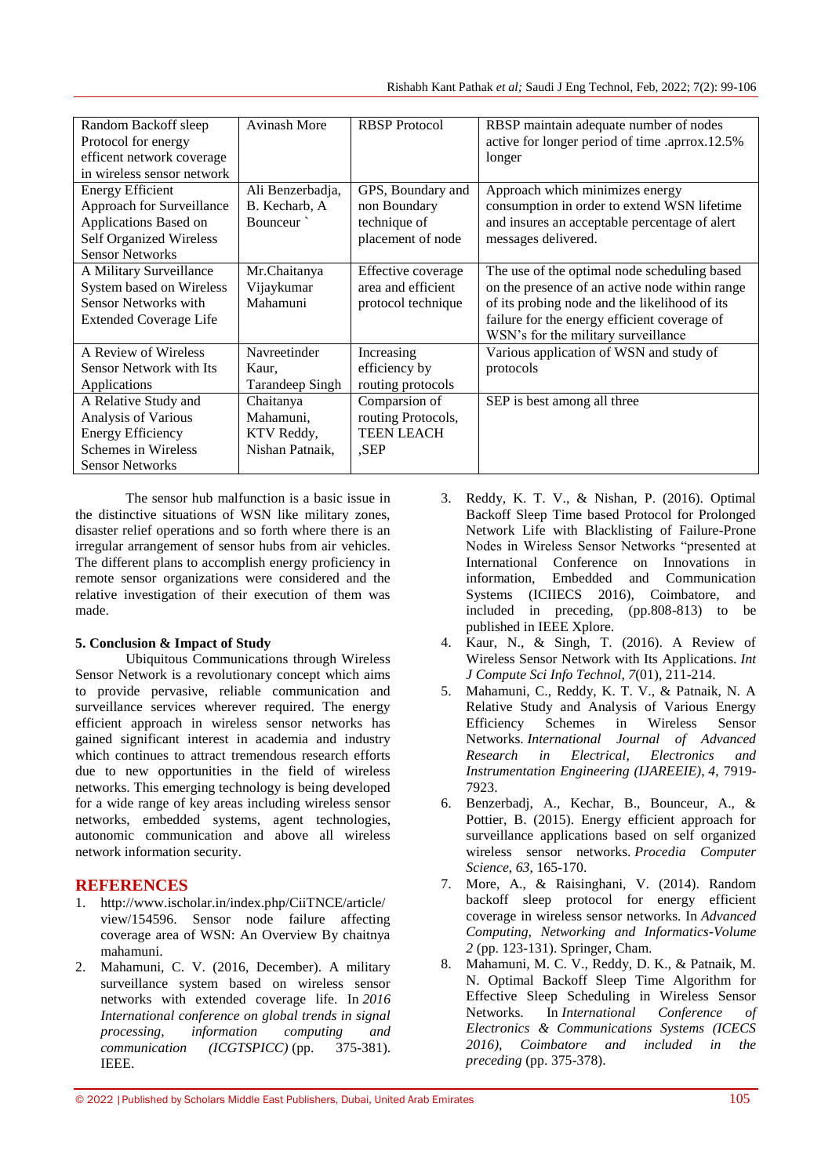| Random Backoff sleep<br>Protocol for energy<br>efficent network coverage<br>in wireless sensor network                          | <b>Avinash More</b>                                     | <b>RBSP</b> Protocol                                             | RBSP maintain adequate number of nodes<br>active for longer period of time .aprrox.12.5%<br>longer                                                                                                                                     |
|---------------------------------------------------------------------------------------------------------------------------------|---------------------------------------------------------|------------------------------------------------------------------|----------------------------------------------------------------------------------------------------------------------------------------------------------------------------------------------------------------------------------------|
| <b>Energy Efficient</b><br>Approach for Surveillance<br>Applications Based on                                                   | Ali Benzerbadja,<br>B. Kecharb, A<br>Bounceur           | GPS, Boundary and<br>non Boundary<br>technique of                | Approach which minimizes energy<br>consumption in order to extend WSN lifetime<br>and insures an acceptable percentage of alert                                                                                                        |
| <b>Self Organized Wireless</b><br><b>Sensor Networks</b>                                                                        |                                                         | placement of node                                                | messages delivered.                                                                                                                                                                                                                    |
| A Military Surveillance<br>System based on Wireless<br><b>Sensor Networks with</b><br><b>Extended Coverage Life</b>             | Mr.Chaitanya<br>Vijaykumar<br>Mahamuni                  | Effective coverage<br>area and efficient<br>protocol technique   | The use of the optimal node scheduling based<br>on the presence of an active node within range<br>of its probing node and the likelihood of its<br>failure for the energy efficient coverage of<br>WSN's for the military surveillance |
| A Review of Wireless<br><b>Sensor Network with Its</b><br>Applications                                                          | Navreetinder<br>Kaur,<br>Tarandeep Singh                | Increasing<br>efficiency by<br>routing protocols                 | Various application of WSN and study of<br>protocols                                                                                                                                                                                   |
| A Relative Study and<br>Analysis of Various<br><b>Energy Efficiency</b><br><b>Schemes in Wireless</b><br><b>Sensor Networks</b> | Chaitanya<br>Mahamuni.<br>KTV Reddy,<br>Nishan Patnaik, | Comparsion of<br>routing Protocols,<br><b>TEEN LEACH</b><br>.SEP | SEP is best among all three                                                                                                                                                                                                            |

The sensor hub malfunction is a basic issue in the distinctive situations of WSN like military zones, disaster relief operations and so forth where there is an irregular arrangement of sensor hubs from air vehicles. The different plans to accomplish energy proficiency in remote sensor organizations were considered and the relative investigation of their execution of them was made.

### **5. Conclusion & Impact of Study**

Ubiquitous Communications through Wireless Sensor Network is a revolutionary concept which aims to provide pervasive, reliable communication and surveillance services wherever required. The energy efficient approach in wireless sensor networks has gained significant interest in academia and industry which continues to attract tremendous research efforts due to new opportunities in the field of wireless networks. This emerging technology is being developed for a wide range of key areas including wireless sensor networks, embedded systems, agent technologies, autonomic communication and above all wireless network information security.

# **REFERENCES**

- 1. http://www.ischolar.in/index.php/CiiTNCE/article/ view/154596. Sensor node failure affecting coverage area of WSN: An Overview By chaitnya mahamuni.
- 2. Mahamuni, C. V. (2016, December). A military surveillance system based on wireless sensor networks with extended coverage life. In *2016 International conference on global trends in signal processing, information computing and communication (ICGTSPICC)* (pp. 375-381). IEEE.
- 3. Reddy, K. T. V., & Nishan, P. (2016). Optimal Backoff Sleep Time based Protocol for Prolonged Network Life with Blacklisting of Failure-Prone Nodes in Wireless Sensor Networks "presented at International Conference on Innovations in information, Embedded and Communication Systems (ICIIECS 2016), Coimbatore, and included in preceding, (pp.808-813) to be published in IEEE Xplore.
- 4. Kaur, N., & Singh, T. (2016). A Review of Wireless Sensor Network with Its Applications. *Int J Compute Sci Info Technol*, *7*(01), 211-214.
- 5. Mahamuni, C., Reddy, K. T. V., & Patnaik, N. A Relative Study and Analysis of Various Energy Efficiency Schemes in Wireless Sensor Networks. *International Journal of Advanced Research in Electrical, Electronics and Instrumentation Engineering (IJAREEIE)*, *4*, 7919- 7923.
- 6. Benzerbadj, A., Kechar, B., Bounceur, A., & Pottier, B. (2015). Energy efficient approach for surveillance applications based on self organized wireless sensor networks. *Procedia Computer Science*, *63*, 165-170.
- 7. More, A., & Raisinghani, V. (2014). Random backoff sleep protocol for energy efficient coverage in wireless sensor networks. In *Advanced Computing, Networking and Informatics-Volume 2* (pp. 123-131). Springer, Cham.
- 8. Mahamuni, M. C. V., Reddy, D. K., & Patnaik, M. N. Optimal Backoff Sleep Time Algorithm for Effective Sleep Scheduling in Wireless Sensor Networks. In *International Conference of Electronics & Communications Systems (ICECS 2016), Coimbatore and included in the preceding* (pp. 375-378).